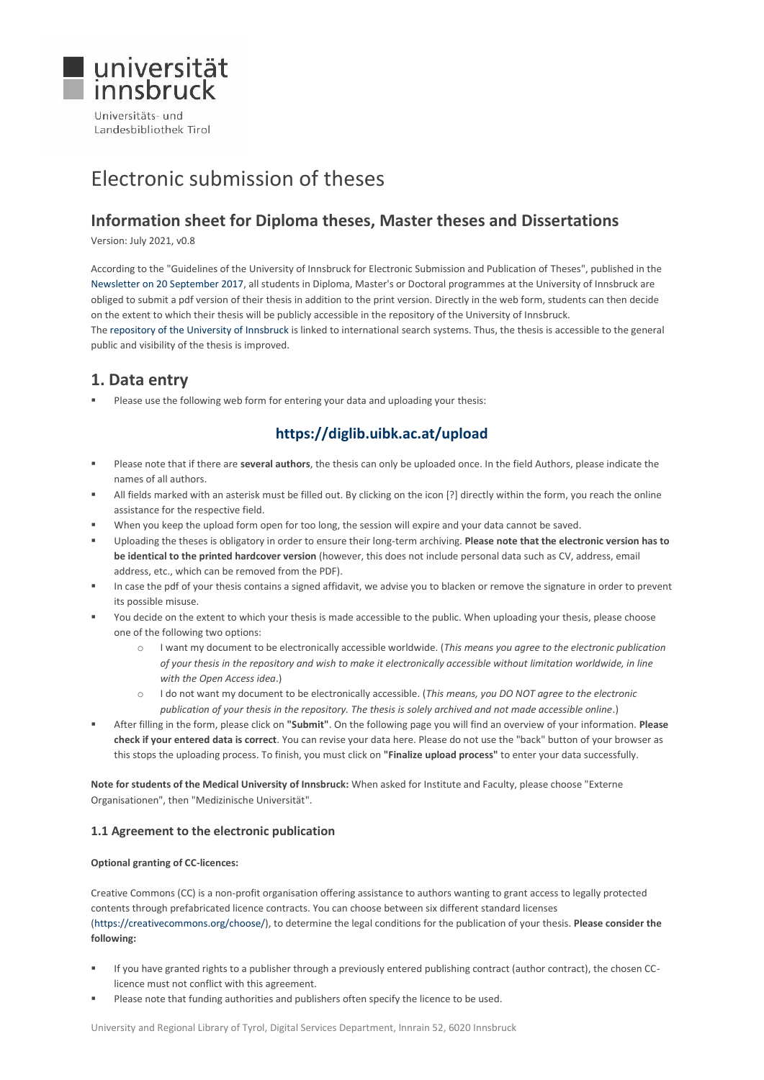

Landesbibliothek Tirol

# Electronic submission of theses

# **Information sheet for Diploma theses, Master theses and Dissertations**

Version: July 2021, v0.8

According to the "Guidelines of the University of Innsbruck for Electronic Submission and Publication of Theses", published in the [Newsletter on 20 September 2017,](https://www.uibk.ac.at/service/c101/mitteilungsblatt/2016-2017/59/mitteil.pdf) all students in Diploma, Master's or Doctoral programmes at the University of Innsbruck are obliged to submit a pdf version of their thesis in addition to the print version. Directly in the web form, students can then decide on the extent to which their thesis will be publicly accessible in the repository of the University of Innsbruck. Th[e repository of the University of Innsbruck](https://diglib.uibk.ac.at/) is linked to international search systems. Thus, the thesis is accessible to the general public and visibility of the thesis is improved.

# **1. Data entry**

Please use the following web form for entering your data and uploading your thesis:

# **<https://diglib.uibk.ac.at/upload>**

- Please note that if there are **several authors**, the thesis can only be uploaded once. In the field Authors, please indicate the names of all authors.
- All fields marked with an asterisk must be filled out. By clicking on the icon [?] directly within the form, you reach the online assistance for the respective field.
- When you keep the upload form open for too long, the session will expire and your data cannot be saved.
- Uploading the theses is obligatory in order to ensure their long-term archiving. **Please note that the electronic version has to be identical to the printed hardcover version** (however, this does not include personal data such as CV, address, email address, etc., which can be removed from the PDF).
- In case the pdf of your thesis contains a signed affidavit, we advise you to blacken or remove the signature in order to prevent its possible misuse.
- You decide on the extent to which your thesis is made accessible to the public. When uploading your thesis, please choose one of the following two options:
	- o I want my document to be electronically accessible worldwide. (*This means you agree to the electronic publication of your thesis in the repository and wish to make it electronically accessible without limitation worldwide, in line with the Open Access idea*.)
	- o I do not want my document to be electronically accessible. (*This means, you DO NOT agree to the electronic publication of your thesis in the repository. The thesis is solely archived and not made accessible online*.)
- After filling in the form, please click on **"Submit"**. On the following page you will find an overview of your information. **Please check if your entered data is correct**. You can revise your data here. Please do not use the "back" button of your browser as this stops the uploading process. To finish, you must click on **"Finalize upload process"** to enter your data successfully.

**Note for students of the Medical University of Innsbruck:** When asked for Institute and Faculty, please choose "Externe Organisationen", then "Medizinische Universität".

### **1.1 Agreement to the electronic publication**

#### **Optional granting of CC‐licences:**

Creative Commons (CC) is a non-profit organisation offering assistance to authors wanting to grant access to legally protected contents through prefabricated licence contracts. You can choose between six different standard licenses [\(https://creativecommons.org/choose/\)](https://creativecommons.org/choose/), to determine the legal conditions for the publication of your thesis. **Please consider the following:**

- If you have granted rights to a publisher through a previously entered publishing contract (author contract), the chosen CClicence must not conflict with this agreement.
- Please note that funding authorities and publishers often specify the licence to be used.

University and Regional Library of Tyrol, Digital Services Department, Innrain 52, 6020 Innsbruck